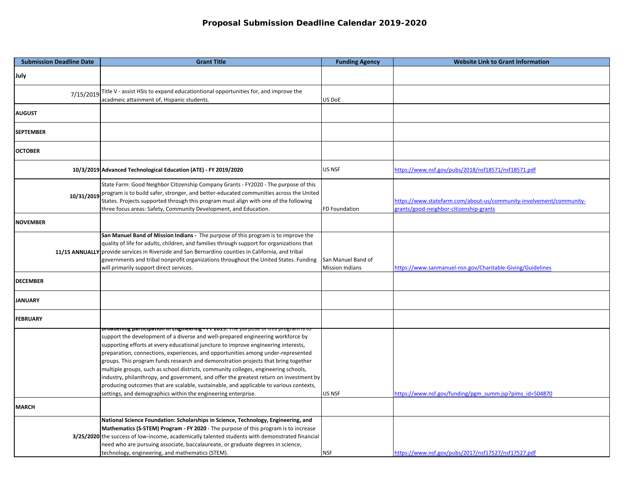| <b>Submission Deadline Date</b> | <b>Grant Title</b>                                                                                                                                                                                                                                                                                                                                                                                                                                                                                                                                                                                                                                                                                                                                                                               | <b>Funding Agency</b>                        | <b>Website Link to Grant Information</b>                                                                       |
|---------------------------------|--------------------------------------------------------------------------------------------------------------------------------------------------------------------------------------------------------------------------------------------------------------------------------------------------------------------------------------------------------------------------------------------------------------------------------------------------------------------------------------------------------------------------------------------------------------------------------------------------------------------------------------------------------------------------------------------------------------------------------------------------------------------------------------------------|----------------------------------------------|----------------------------------------------------------------------------------------------------------------|
| July                            |                                                                                                                                                                                                                                                                                                                                                                                                                                                                                                                                                                                                                                                                                                                                                                                                  |                                              |                                                                                                                |
| 7/15/2019                       | Title V - assist HSIs to expand educationtional opportunities for, and improve the<br>acadmeic attainment of, Hispanic students.                                                                                                                                                                                                                                                                                                                                                                                                                                                                                                                                                                                                                                                                 | US DoE                                       |                                                                                                                |
| <b>AUGUST</b>                   |                                                                                                                                                                                                                                                                                                                                                                                                                                                                                                                                                                                                                                                                                                                                                                                                  |                                              |                                                                                                                |
| <b>SEPTEMBER</b>                |                                                                                                                                                                                                                                                                                                                                                                                                                                                                                                                                                                                                                                                                                                                                                                                                  |                                              |                                                                                                                |
| <b>OCTOBER</b>                  |                                                                                                                                                                                                                                                                                                                                                                                                                                                                                                                                                                                                                                                                                                                                                                                                  |                                              |                                                                                                                |
|                                 | 10/3/2019 Advanced Technological Education (ATE) - FY 2019/2020                                                                                                                                                                                                                                                                                                                                                                                                                                                                                                                                                                                                                                                                                                                                  | US NSF                                       | https://www.nsf.gov/pubs/2018/nsf18571/nsf18571.pdf                                                            |
| 10/31/2019                      | State Farm: Good Neighbor Citizenship Company Grants - FY2020 - The purpose of this<br>program is to build safer, stronger, and better-educated communities across the United<br>States. Projects supported through this program must align with one of the following<br>three focus areas: Safety, Community Development, and Education.                                                                                                                                                                                                                                                                                                                                                                                                                                                        | <b>FD Foundation</b>                         | https://www.statefarm.com/about-us/community-involvement/community-<br>grants/good-neighbor-citizenship-grants |
| <b>NOVEMBER</b>                 |                                                                                                                                                                                                                                                                                                                                                                                                                                                                                                                                                                                                                                                                                                                                                                                                  |                                              |                                                                                                                |
|                                 | San Manuel Band of Mission Indians - The purpose of this program is to improve the<br>quality of life for adults, children, and families through support for organizations that<br>11/15 ANNUALLY provide services in Riverside and San Bernardino counties in California, and tribal<br>governments and tribal nonprofit organizations throughout the United States. Funding<br>will primarily support direct services.                                                                                                                                                                                                                                                                                                                                                                         | San Manuel Band of<br><b>Mission Indians</b> | https://www.sanmanuel-nsn.gov/Charitable-Giving/Guidelines                                                     |
| <b>DECEMBER</b>                 |                                                                                                                                                                                                                                                                                                                                                                                                                                                                                                                                                                                                                                                                                                                                                                                                  |                                              |                                                                                                                |
| <b>JANUARY</b>                  |                                                                                                                                                                                                                                                                                                                                                                                                                                                                                                                                                                                                                                                                                                                                                                                                  |                                              |                                                                                                                |
| <b>FEBRUARY</b>                 |                                                                                                                                                                                                                                                                                                                                                                                                                                                                                                                                                                                                                                                                                                                                                                                                  |                                              |                                                                                                                |
|                                 | <mark>broadening participation in Engineering - F1 2015.</mark> The purpose or this program is to<br>support the development of a diverse and well-prepared engineering workforce by<br>supporting efforts at every educational juncture to improve engineering interests,<br>preparation, connections, experiences, and opportunities among under-represented<br>groups. This program funds research and demonstration projects that bring together<br>multiple groups, such as school districts, community colleges, engineering schools,<br>industry, philanthropy, and government, and offer the greatest return on investment by<br>producing outcomes that are scalable, sustainable, and applicable to various contexts,<br>settings, and demographics within the engineering enterprise. | US NSF                                       | https://www.nsf.gov/funding/pgm_summ.jsp?pims_id=504870                                                        |
| <b>MARCH</b>                    |                                                                                                                                                                                                                                                                                                                                                                                                                                                                                                                                                                                                                                                                                                                                                                                                  |                                              |                                                                                                                |
|                                 | National Science Foundation: Scholarships in Science, Technology, Engineering, and<br>Mathematics (S-STEM) Program - FY 2020 - The purpose of this program is to increase<br>3/25/2020 the success of low-income, academically talented students with demonstrated financial<br>need who are pursuing associate, baccalaureate, or graduate degrees in science,<br>technology, engineering, and mathematics (STEM).                                                                                                                                                                                                                                                                                                                                                                              | <b>NSF</b>                                   | https://www.nsf.gov/pubs/2017/nsf17527/nsf17527.pdf                                                            |